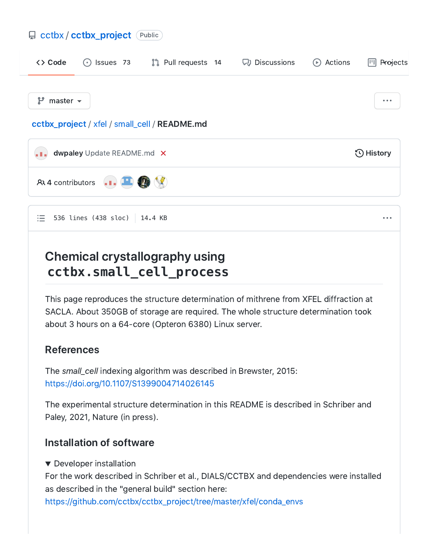# [cctbx](https://github.com/cctbx) / [cctbx\\_project](https://github.com/cctbx/cctbx_project) Public [Code](https://github.com/cctbx/cctbx_project) [Issues](https://github.com/cctbx/cctbx_project/issues) 73 Pull [requests](https://github.com/cctbx/cctbx_project/pulls) 14 [Discussions](https://github.com/cctbx/cctbx_project/discussions) [Actions](https://github.com/cctbx/cctbx_project/actions) [Projects](https://github.com/cctbx/cctbx_project/projects)  $f^{\circ}$  master  $\sim$ [cctbx\\_project](https://github.com/cctbx/cctbx_project) / [xfel](https://github.com/cctbx/cctbx_project/tree/master/xfel) / [small\\_cell](https://github.com/cctbx/cctbx_project/tree/master/xfel/small_cell) / README.md [dwpaley](https://github.com/dwpaley) Update [README.md](https://github.com/cctbx/cctbx_project/commit/78e625c5829e4948da94fe535b8177346539dce3)  $\, \times \,$   $\,$ a Bal  $-8$  4 contributors  $-1$ 536 lines (438 sloc) 14.4 KB注

## Chemical crystallography using **cctbx.small\_cell\_process**

This page reproduces the structure determination of mithrene from XFEL diffraction at SACLA. About 350GB of storage are required. The whole structure determination took about 3 hours on a 64-core (Opteron 6380) Linux server.

## References

The small\_cell indexing algorithm was described in Brewster, 2015: <https://doi.org/10.1107/S1399004714026145>

The experimental structure determination in this README is described in Schriber and Paley, 2021, Nature (in press).

## Installation of software

▼ Developer installation

For the work described in Schriber et al., DIALS/CCTBX and dependencies were installed as described in the "general build" section here:

[https://github.com/cctbx/cctbx\\_project/tree/master/xfel/conda\\_envs](https://github.com/cctbx/cctbx_project/tree/master/xfel/conda_envs)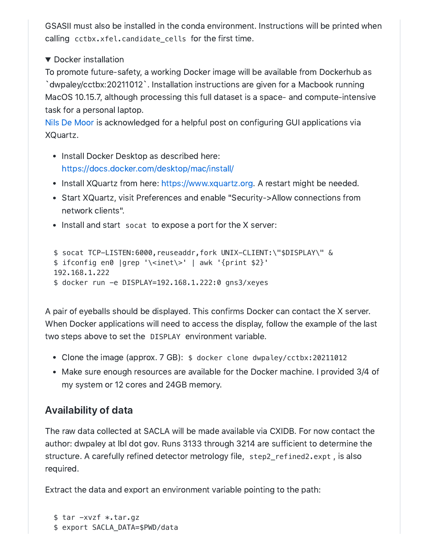GSASII must also be installed in the conda environment. Instructions will be printed when calling cctbx.xfel.candidate cells for the first time.

▼ Docker installation

To promote future-safety, a working Docker image will be available from Dockerhub as `dwpaley/cctbx:20211012`. Installation instructions are given for a Macbook running MacOS 10.15.7, although processing this full dataset is a space- and compute-intensive task for a personal laptop.

Nils De [Moor](https://cntnr.io/running-guis-with-docker-on-mac-os-x-a14df6a76efc) is acknowledged for a helpful post on configuring GUI applications via XQuartz.

- Install Docker Desktop as described here: <https://docs.docker.com/desktop/mac/install/>
- Install XQuartz from here: [https://www.xquartz.org](https://www.xquartz.org/). A restart might be needed.
- Start XQuartz, visit Preferences and enable "Security->Allow connections from network clients".
- Install and start socat to expose a port for the X server:

```
$ socat TCP-LISTEN:6000,reuseaddr,fork UNIX-CLIENT:\"$DISPLAY\" &
$ ifconfig en0 |grep '\<inet\>' | awk '{print $2}'
192.168.1.222
$ docker run -e DISPLAY=192.168.1.222:0 gns3/xeyes
```
A pair of eyeballs should be displayed. This confirms Docker can contact the X server. When Docker applications will need to access the display, follow the example of the last two steps above to set the DISPLAY environment variable.

- Clone the image (approx. 7 GB): \$ docker clone dwpaley/cctbx:20211012
- Make sure enough resources are available for the Docker machine. I provided 3/4 of my system or 12 cores and 24GB memory.

## Availability of data

The raw data collected at SACLA will be made available via CXIDB. For now contact the author: dwpaley at lbl dot gov. Runs 3133 through 3214 are sufficient to determine the structure. A carefully refined detector metrology file, step2\_refined2.expt , is also required.

Extract the data and export an environment variable pointing to the path:

```
$ tar -xvzf *.tar.gz
$ export SACLA_DATA=$PWD/data
```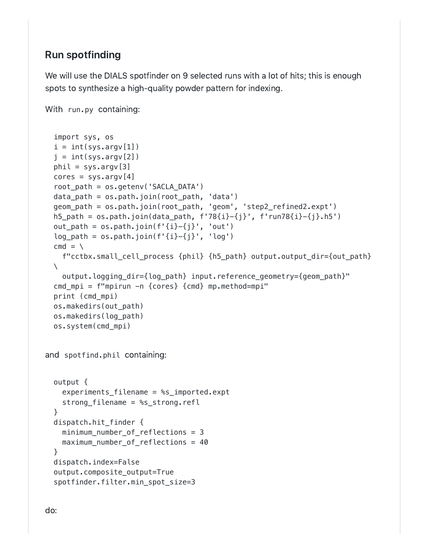## Run spotfinding

We will use the DIALS spotfinder on 9 selected runs with a lot of hits; this is enough spots to synthesize a high-quality powder pattern for indexing.

With run.py containing:

```
and spotfind.phil containing:
  import sys, os
  i = int(sys.argv[1])j = int(sys.argv[2])phi = sys.argv[3]cores = sys.argv[4]root_path = os.getenv('SACLA_DATA')
 data_path = os.path.join(root_path, 'data')
 geom_path = os.path.join(root_path, 'geom', 'step2_refined2.expt')
 h5_path = os.path.join(data.path, f'78{i}-{j}'', f'run78{i}-{j}'.h5')out_path = os.path.join(f'\{i\} - \{j\}', 'out')
  log_{10}ath = os.path.join(f'{i}-{j}', 'log')
  cmd = \iotaf"cctbx.small_cell_process {phil} {h5_path} output.output_dir={out_path}
 \setminusoutput.logging_dir={log_path} input.reference_geometry={geom_path}"
  cmd_mpi = f"mpirun -n {cores} {cmd} mp.method=mpi"
 print (cmd_mpi)
 os.makedirs(out_path)
 os.makedirs(log_path)
  os.system(cmd_mpi)
 output {
   experiments filename = \text{m/s} imported.expt
   strong_filename = %s_strong.refl
  }
 dispatch.hit_finder {
   minimum_number_of_reflections = 3
   maximum number of reflections = 40}
 dispatch.index=False
  output.composite_output=True
  spotfinder.filter.min_spot_size=3
```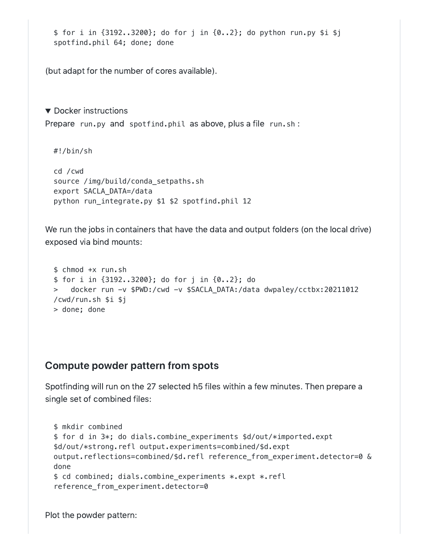```
$ for i in {3192..3200}; do for j in {0..2}; do python run.py $i $j
spotfind.phil 64; done; done
```
(but adapt for the number of cores available).

▼ Docker instructions Prepare run.py and spotfind.phil as above, plus a file run.sh :

#!/bin/sh

```
cd /cwd
source /img/build/conda_setpaths.sh
export SACLA_DATA=/data
python run_integrate.py $1 $2 spotfind.phil 12
```
We run the jobs in containers that have the data and output folders (on the local drive) exposed via bind mounts:

```
$ chmod +x run.sh
$ for i in {3192..3200}; do for j in {0..2}; do
> docker run -v $PWD:/cwd -v $SACLA_DATA:/data dwpaley/cctbx:20211012
/cwd/run.sh $i $j
> done; done
```
#### Compute powder pattern from spots

Spotfinding will run on the 27 selected h5 files within a few minutes. Then prepare a single set of combined files:

```
$ mkdir combined
$ for d in 3*; do dials.combine_experiments $d/out/*imported.expt
$d/out/*strong.refl output.experiments=combined/$d.expt
output.reflections=combined/$d.refl reference_from_experiment.detector=0 &
done
$ cd combined; dials.combine_experiments *.expt *.refl
reference_from_experiment.detector=0
```
Plot the powder pattern: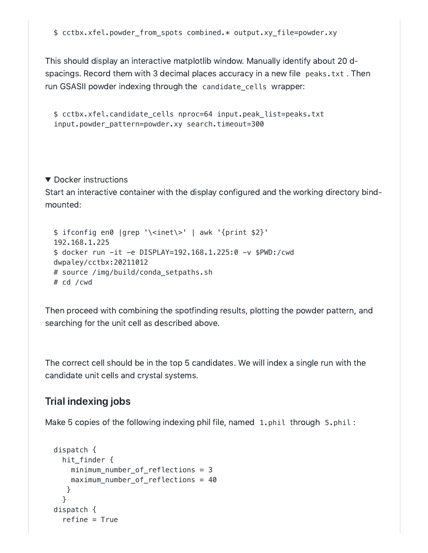This should display an interactive matplotlib window. Manually identify about 20 dspacings. Record them with 3 decimal places accuracy in a new file peaks.txt . Then run GSASII powder indexing through the candidate\_cells wrapper:

```
$ cctbx.xfel.candidate_cells nproc=64 input.peak_list=peaks.txt
input.powder_pattern=powder.xy search.timeout=300
```
#### ▼ Docker instructions

Start an interactive container with the display configured and the working directory bindmounted:

```
$ ifconfig en0 |grep '\<inet\>' | awk '{print $2}'
192.168.1.225
$ docker run -it -e DISPLAY=192.168.1.225:0 -v $PWD:/cwd
dwpaley/cctbx:20211012
# source /img/build/conda_setpaths.sh
# cd /cwd
```
Then proceed with combining the spotfinding results, plotting the powder pattern, and searching for the unit cell as described above.

The correct cell should be in the top 5 candidates. We will index a single run with the candidate unit cells and crystal systems.

#### Trial indexing jobs

Make 5 copies of the following indexing phil file, named 1.phil through 5.phil:

```
dispatch {
  hit_finder {
    minimum_number_of_reflections = 3
    maximum_number_of_reflections = 40
   }
  }
dispatch {
  refine = True
```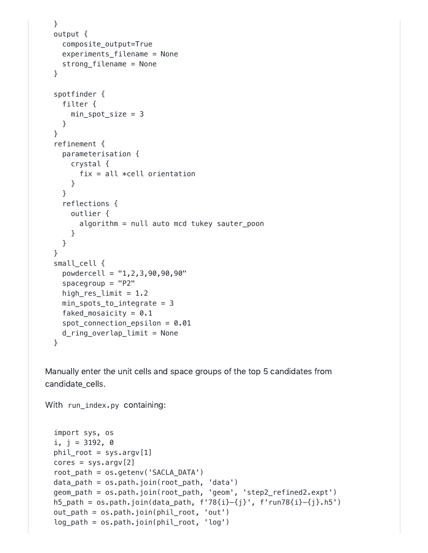```
}
output {
  composite_output=True
  experiments_filename = None
  strong_filename = None
}
spotfinder {
  filter {
    min_spot_size = 3
  }
}
refinement {
  parameterisation {
    crystal {
      fix = all *cell orientation}
  }
  reflections {
    outlier {
      algorithm = null auto mcd tukey sauter_poon
    }
  }
}
small_cell {
  powdercell = "1,2,3,90,90,90"
  spacegroup = "P2"high_res_limit = 1.2
  min_spots_to_integrate = 3
  faked_mosaicity = 0.1spot_connection_epsilon = 0.01
  d_ring_overlap_limit = None
}
```
Manually enter the unit cells and space groups of the top 5 candidates from candidate\_cells.

With run\_index.py containing:

```
import sys, os
i, j = 3192, 0
phil\_root = sys.argv[1]cores = sys.argv[2]root_path = os.getenv('SACLA_DATA')
data_path = os.path.join(root_path, 'data')
geom_path = os.path.join(root_path, 'geom', 'step2_refined2.expt')
h5_path = os.path.join(data.path, f'78{i}-{j}'', f'run78{i}-{j}'.h5')out_path = os.path.join(phil_root, 'out')
log_path = os.path.join(phil_root, 'log')
```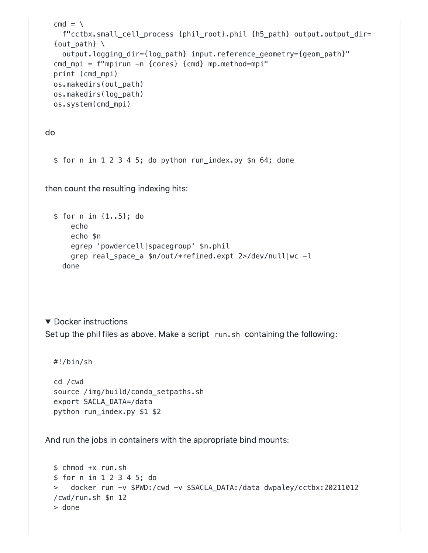```
cmd = \iotaf"cctbx.small_cell_process {phil_root}.phil {h5_path} output.output_dir=
{out path} \setminusoutput.logging_dir={log_path} input.reference_geometry={geom_path}"
cmd_mpi = f"mpirun -n {cores} {cmd} mp.method=mpi"
print (cmd_mpi)
os.makedirs(out_path)
os.makedirs(log_path)
os.system(cmd_mpi)
```
do

\$ for n in 1 2 3 4 5; do python run\_index.py \$n 64; done

then count the resulting indexing hits:

```
$ for n in {1..5}; do
   echo
   echo $n
   egrep 'powdercell|spacegroup' $n.phil
   grep real_space_a $n/out/*refined.expt 2>/dev/null|wc -l
 done
```
▼ Docker instructions Set up the phil files as above. Make a script run.sh containing the following:

```
#!/bin/sh
```
cd /cwd source /img/build/conda\_setpaths.sh export SACLA\_DATA=/data python run\_index.py \$1 \$2

And run the jobs in containers with the appropriate bind mounts:

```
$ chmod +x run.sh
$ for n in 1 2 3 4 5; do
> docker run -v $PWD:/cwd -v $SACLA_DATA:/data dwpaley/cctbx:20211012
/cwd/run.sh $n 12
> done
```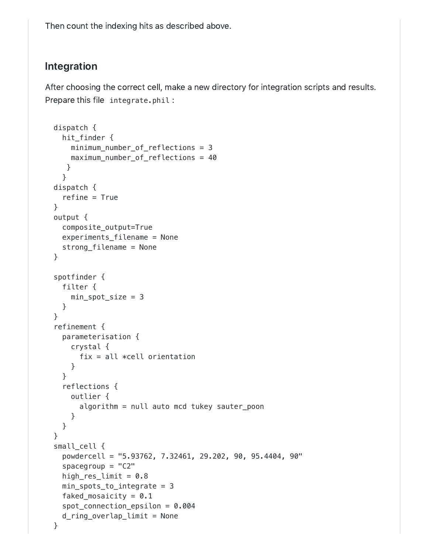Then count the indexing hits as described above.

## Integration

After choosing the correct cell, make a new directory for integration scripts and results. Prepare this file integrate.phil :

```
dispatch {
  hit_finder {
    minimum_number_of_reflections = 3
    maximum_number_of_reflections = 40
  }
  }
dispatch {
  refine = True
}
output {
  composite_output=True
  experiments_filename = None
  strong_filename = None
}
spotfinder {
  filter {
    min_spot_size = 3
  }
}
refinement {
  parameterisation {
    crystal {
      fix = all *cell orientation}
  }
  reflections {
    outlier {
      algorithm = null auto mcd tukey sauter_poon
    }
  }
}
small_cell {
  powdercell = "5.93762, 7.32461, 29.202, 90, 95.4404, 90"
  spacegroup = "C2"high_res_limit = 0.8min_spots_to_integrate = 3
  faked_mosaicity = 0.1spot_connection_epsilon = 0.004
 d_ring_overlap_limit = None
}
```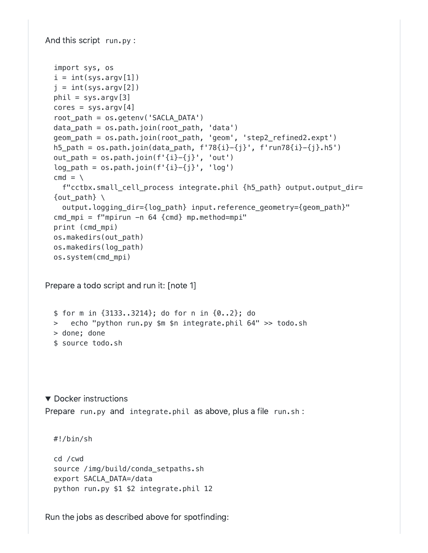```
And this script run.py :
Prepare a todo script and run it: [note 1]
▼ Docker instructions
Prepare run.py and integrate.phil as above, plus a file run.sh :
  import sys, os
  i = int(sys.array[1])j = int(sys.argv[2])phi = sys.argv[3]cores = sys.argv[4]root_path = os.getenv('SACLA_DATA')
  data_path = os.path.join(root_path, 'data')
  geom_path = os.path.join(root_path, 'geom', 'step2_refined2.expt')
  h5_path = os.path.join(data_path, f'78{i}}-{j}, f'run78{i}-{j},h5')
  out_path = os.path.join(f'\{i\} - \{j\}', 'out')
  log\_path = os.path.join(f'{i}-{j}'', 'log')cmd = \sqrt{}f"cctbx.small_cell_process integrate.phil {h5_path} output.output_dir=
  \{out\_path\}output.logging_dir={log_path} input.reference_geometry={geom_path}"
  cmd_mpi = f"mpirun -n 64 {cmd} mp.method=mpi"
  print (cmd_mpi)
  os.makedirs(out_path)
  os.makedirs(log_path)
  os.system(cmd_mpi)
  $ for m in {3133..3214}; do for n in {0..2}; do
 > echo "python run.py $m $n integrate.phil 64" >> todo.sh
 > done; done
  $ source todo.sh
 #!/bin/sh
  cd /cwd
  source /img/build/conda_setpaths.sh
  export SACLA_DATA=/data
  python run.py $1 $2 integrate.phil 12
```
Run the jobs as described above for spotfinding: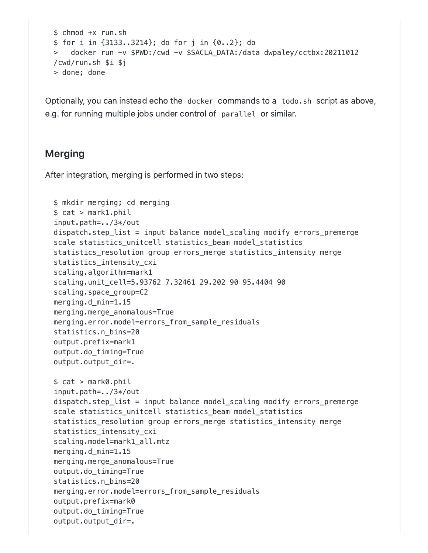```
$ chmod +x run.sh
$ for i in {3133..3214}; do for j in {0..2}; do
> docker run -v $PWD:/cwd -v $SACLA_DATA:/data dwpaley/cctbx:20211012
/cwd/run.sh $i $j
> done; done
```
Optionally, you can instead echo the docker commands to a todo.sh script as above, e.g. for running multiple jobs under control of parallel or similar.

### Merging

After integration, merging is performed in two steps:

```
$ mkdir merging; cd merging
$ cat > mark1.phil
input.path=../3*/out
dispatch.step_list = input balance model_scaling modify errors_premerge
scale statistics_unitcell statistics_beam model_statistics
statistics_resolution group errors_merge statistics_intensity merge
statistics intensity cxi
scaling.algorithm=mark1
scaling.unit_cell=5.93762 7.32461 29.202 90 95.4404 90
scaling.space_group=C2
merging.d_min=1.15
merging.merge_anomalous=True
merging.error.model=errors_from_sample_residuals
statistics.n_bins=20
output.prefix=mark1
output.do_timing=True
output.output_dir=.
$ cat > mark0.phil
input.path=../3*/out
dispatch.step_list = input balance model_scaling modify errors_premerge
scale statistics_unitcell statistics_beam model_statistics
statistics_resolution group errors_merge statistics_intensity merge
statistics_intensity_cxi
scaling.model=mark1_all.mtz
merging.d_min=1.15
merging.merge_anomalous=True
output.do_timing=True
statistics.n_bins=20
merging.error.model=errors_from_sample_residuals
output.prefix=mark0
output.do_timing=True
output.output_dir=.
```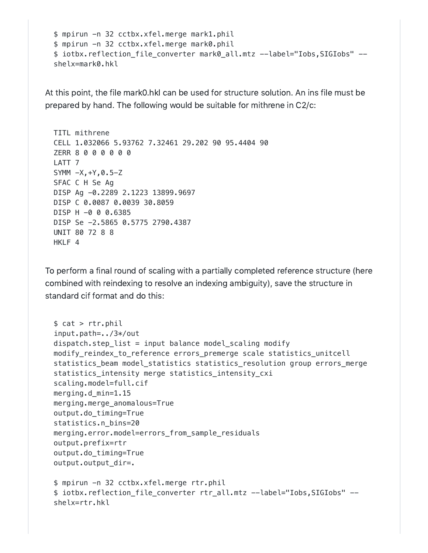```
$ mpirun -n 32 cctbx.xfel.merge mark1.phil
$ mpirun -n 32 cctbx.xfel.merge mark0.phil
$ iotbx.reflection_file_converter mark0_all.mtz --label="Iobs,SIGIobs" --
shelx=mark0.hkl
```
At this point, the file mark0.hkl can be used for structure solution. An ins file must be prepared by hand. The following would be suitable for mithrene in C2/c:

```
TITL mithrene
CELL 1.032066 5.93762 7.32461 29.202 90 95.4404 90
ZERR 8 0 0 0 0 0 0
LATT 7
SYMM -X,+Y,0.5-Z
SFAC C H Se Ag
DISP Ag -0.2289 2.1223 13899.9697
DISP C 0.0087 0.0039 30.8059
DISP H -0 0 0.6385
DISP Se -2.5865 0.5775 2790.4387
UNIT 80 72 8 8
HKLF 4
```
To perform a final round of scaling with a partially completed reference structure (here combined with reindexing to resolve an indexing ambiguity), save the structure in standard cif format and do this:

```
$ cat > rtr.pdfinput.path=../3*/out
dispatch.step list = input balance model scaling modify
modify reindex to reference errors premerge scale statistics unitcell
statistics_beam model_statistics statistics_resolution group errors_merge
statistics intensity merge statistics intensity cxi
scaling.model=full.cif
merging.d_min=1.15
merging.merge_anomalous=True
output.do_timing=True
statistics.n_bins=20
merging.error.model=errors_from_sample_residuals
output.prefix=rtr
output.do_timing=True
output.output_dir=.
$ mpirun -n 32 cctbx.xfel.merge rtr.phil
$ iotbx.reflection_file_converter rtr_all.mtz --label="Iobs,SIGIobs" --
shelx=rtr.hkl
```